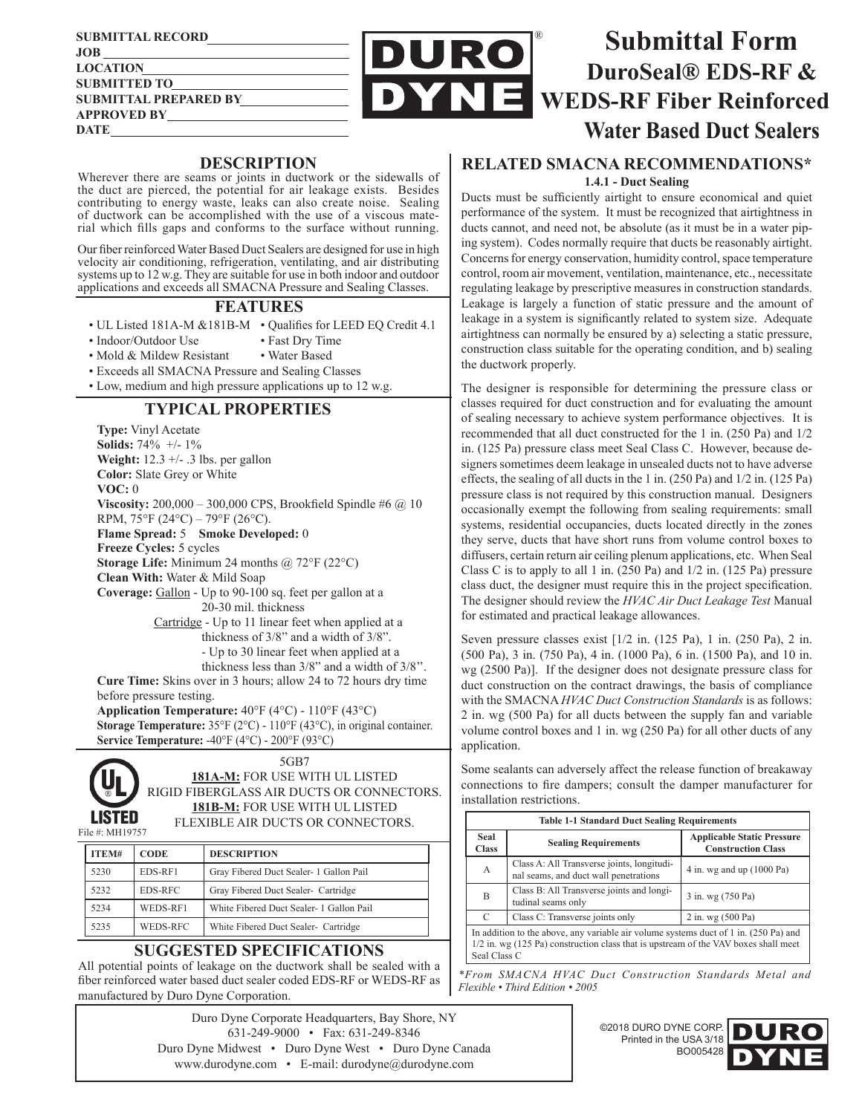| <b>SUBMITTAL RECORD</b>      |
|------------------------------|
| <b>JOB</b>                   |
| <b>LOCATION</b>              |
| <b>SUBMITTED TO</b>          |
| <b>SUBMITTAL PREPARED BY</b> |
| <b>APPROVED BY</b>           |
| DATE                         |



### **DESCRIPTION**

Wherever there are seams or joints in ductwork or the sidewalls of the duct are pierced, the potential for air leakage exists. Besides contributing to energy waste, leaks can also create noise. Sealing of ductwork can be accomplished with the use of a viscous material which fills gaps and conforms to the surface without running.

Our fiber reinforced Water Based Duct Sealers are designed for use in high velocity air conditioning, refrigeration, ventilating, and air distributing systems up to 12 w.g. They are suitable for use in both indoor and outdoor applications and exceeds all SMACNA Pressure and Sealing Classes.

#### **FEATURES**

- UL Listed 181A-M &181B-M Qualifies for LEED EQ Credit 4.1
- Indoor/Outdoor Use Fast Dry Time
- Mold & Mildew Resistant Water Based
- Exceeds all SMACNA Pressure and Sealing Classes
- Low, medium and high pressure applications up to 12 w.g.

## **TYPICAL PROPERTIES**

**Type:** Vinyl Acetate **Solids:** 74% +/- 1% **Weight:** 12.3 +/- .3 lbs. per gallon **Color:** Slate Grey or White **VOC:** 0 **Viscosity:** 200,000 – 300,000 CPS, Brookfield Spindle #6 @ 10 RPM, 75°F (24°C) – 79°F (26°C). **Flame Spread:** 5 **Smoke Developed:** 0 **Freeze Cycles:** 5 cycles **Storage Life:** Minimum 24 months @ 72°F (22°C) **Clean With:** Water & Mild Soap **Coverage:** Gallon - Up to 90-100 sq. feet per gallon at a 20-30 mil. thickness Cartridge - Up to 11 linear feet when applied at a thickness of 3/8" and a width of 3/8". - Up to 30 linear feet when applied at a thickness less than 3/8" and a width of 3/8''. **Cure Time:** Skins over in 3 hours; allow 24 to 72 hours dry time before pressure testing.

**Application Temperature:** 40°F (4°C) - 110°F (43°C) **Storage Temperature:** 35°F (2°C) - 110°F (43°C), in original container. **Service Temperature:** -40°F (4°C) - 200°F (93°C)



5GB7 **181A-M:** FOR USE WITH UL LISTED RIGID FIBERGLASS AIR DUCTS OR CONNECTORS. **181B-M:** FOR USE WITH UL LISTED FLEXIBLE AIR DUCTS OR CONNECTORS.

| ITEM# | <b>CODE</b> | <b>DESCRIPTION</b>                       |
|-------|-------------|------------------------------------------|
| 5230  | EDS-RF1     | Gray Fibered Duct Sealer- 1 Gallon Pail  |
| 5232  | EDS-RFC     | Gray Fibered Duct Sealer- Cartridge      |
| 5234  | WEDS-RF1    | White Fibered Duct Sealer- 1 Gallon Pail |
| 5235  | WEDS-RFC    | White Fibered Duct Sealer- Cartridge     |

### **SUGGESTED SPECIFICATIONS**

All potential points of leakage on the ductwork shall be sealed with a fiber reinforced water based duct sealer coded EDS-RF or WEDS-RF as manufactured by Duro Dyne Corporation.

> Duro Dyne Corporate Headquarters, Bay Shore, NY 631-249-9000 • Fax: 631-249-8346 Duro Dyne Midwest • Duro Dyne West • Duro Dyne Canada www.durodyne.com • E-mail: durodyne@durodyne.com

# **RELATED SMACNA RECOMMENDATIONS\***

**1.4.1 - Duct Sealing**

Ducts must be sufficiently airtight to ensure economical and quiet performance of the system. It must be recognized that airtightness in ducts cannot, and need not, be absolute (as it must be in a water piping system). Codes normally require that ducts be reasonably airtight. Concerns for energy conservation, humidity control, space temperature control, room air movement, ventilation, maintenance, etc., necessitate regulating leakage by prescriptive measures in construction standards. Leakage is largely a function of static pressure and the amount of leakage in a system is significantly related to system size. Adequate airtightness can normally be ensured by a) selecting a static pressure, construction class suitable for the operating condition, and b) sealing the ductwork properly.

The designer is responsible for determining the pressure class or classes required for duct construction and for evaluating the amount of sealing necessary to achieve system performance objectives. It is recommended that all duct constructed for the 1 in. (250 Pa) and 1/2 in. (125 Pa) pressure class meet Seal Class C. However, because designers sometimes deem leakage in unsealed ducts not to have adverse effects, the sealing of all ducts in the 1 in. (250 Pa) and 1/2 in. (125 Pa) pressure class is not required by this construction manual. Designers occasionally exempt the following from sealing requirements: small systems, residential occupancies, ducts located directly in the zones they serve, ducts that have short runs from volume control boxes to diffusers, certain return air ceiling plenum applications, etc. When Seal Class C is to apply to all 1 in. (250 Pa) and 1/2 in. (125 Pa) pressure class duct, the designer must require this in the project specification. The designer should review the *HVAC Air Duct Leakage Test* Manual for estimated and practical leakage allowances.

Seven pressure classes exist [1/2 in. (125 Pa), 1 in. (250 Pa), 2 in. (500 Pa), 3 in. (750 Pa), 4 in. (1000 Pa), 6 in. (1500 Pa), and 10 in. wg (2500 Pa)]. If the designer does not designate pressure class for duct construction on the contract drawings, the basis of compliance with the SMACNA *HVAC Duct Construction Standards* is as follows: 2 in. wg (500 Pa) for all ducts between the supply fan and variable volume control boxes and 1 in. wg (250 Pa) for all other ducts of any application.

Some sealants can adversely affect the release function of breakaway connections to fire dampers; consult the damper manufacturer for

installation restrictions. **Table 1-1 Standard Duct Sealing Requirements Seal Collage Requirements Applicable Static Pressure Construction Class** <sup>A</sup> Class A: All Transverse joints, longitudi-Class A: All Transverse joints, longitudi-<br>  $\begin{bmatrix} 4 & \text{in.} \text{wg} \text{ and up (1000 Pa)} \end{bmatrix}$  $\mathbf{B}$  Class B: All Transverse joints and longitudinal seams only  $3 \text{ in.} \text{wg} (750 \text{ Pa})$ C Class C: Transverse joints only 2 in. wg  $(500 \text{ Pa})$ In addition to the above, any variable air volume systems duct of 1 in. (250 Pa) and 1/2 in. wg (125 Pa) construction class that is upstream of the VAV boxes shall meet

*\*From SMACNA HVAC Duct Construction Standards Metal and Flexible • Third Edition • 2005*

Seal Class C